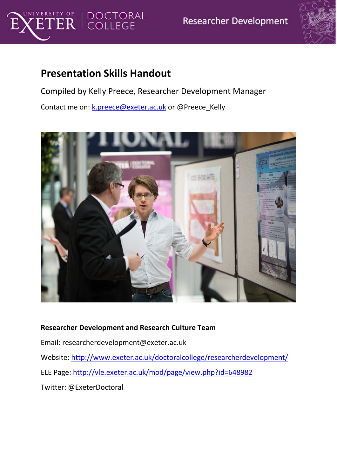



## **Presentation Skills Handout**

Compiled by Kelly Preece, Researcher Development Manager

Contact me on: [k.preece@exeter.ac.uk](mailto:k.preece@exeter.ac.uk) or @Preece\_Kelly



## **Researcher Development and Research Culture Team**

Email: researcherdevelopment@exeter.ac.uk

Website:<http://www.exeter.ac.uk/doctoralcollege/researcherdevelopment/>

ELE Page:<http://vle.exeter.ac.uk/mod/page/view.php?id=648982>

Twitter: @ExeterDoctoral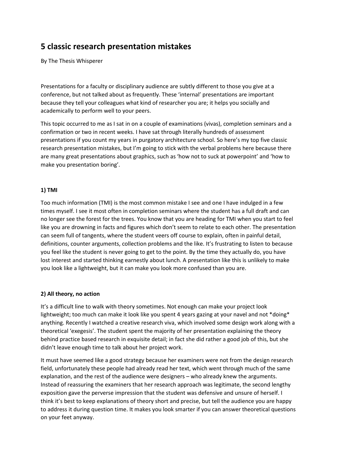## **5 classic research presentation mistakes**

By The Thesis Whisperer

Presentations for a faculty or disciplinary audience are subtly different to those you give at a conference, but not talked about as frequently. These 'internal' presentations are important because they tell your colleagues what kind of researcher you are; it helps you socially and academically to perform well to your peers.

This topic occurred to me as I sat in on a couple of examinations (vivas), completion seminars and a confirmation or two in recent weeks. I have sat through literally hundreds of assessment presentations if you count my years in purgatory architecture school. So here's my top five classic research presentation mistakes, but I'm going to stick with the verbal problems here because there are many great presentations about graphics, such as 'how not to suck at powerpoint' and 'how to make you presentation boring'.

#### **1) TMI**

Too much information (TMI) is the most common mistake I see and one I have indulged in a few times myself. I see it most often in completion seminars where the student has a full draft and can no longer see the forest for the trees. You know that you are heading for TMI when you start to feel like you are drowning in facts and figures which don't seem to relate to each other. The presentation can seem full of tangents, where the student veers off course to explain, often in painful detail, definitions, counter arguments, collection problems and the like. It's frustrating to listen to because you feel like the student is never going to get to the point. By the time they actually do, you have lost interest and started thinking earnestly about lunch. A presentation like this is unlikely to make you look like a lightweight, but it can make you look more confused than you are.

#### **2) All theory, no action**

It's a difficult line to walk with theory sometimes. Not enough can make your project look lightweight; too much can make it look like you spent 4 years gazing at your navel and not \*doing\* anything. Recently I watched a creative research viva, which involved some design work along with a theoretical 'exegesis'. The student spent the majority of her presentation explaining the theory behind practice based research in exquisite detail; in fact she did rather a good job of this, but she didn't leave enough time to talk about her project work.

It must have seemed like a good strategy because her examiners were not from the design research field, unfortunately these people had already read her text, which went through much of the same explanation, and the rest of the audience were designers – who already knew the arguments. Instead of reassuring the examiners that her research approach was legitimate, the second lengthy exposition gave the perverse impression that the student was defensive and unsure of herself. I think it's best to keep explanations of theory short and precise, but tell the audience you are happy to address it during question time. It makes you look smarter if you can answer theoretical questions on your feet anyway.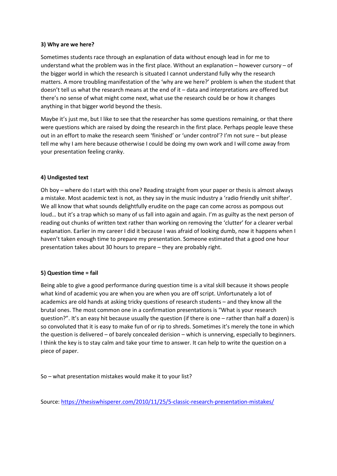#### **3) Why are we here?**

Sometimes students race through an explanation of data without enough lead in for me to understand what the problem was in the first place. Without an explanation – however cursory – of the bigger world in which the research is situated I cannot understand fully why the research matters. A more troubling manifestation of the 'why are we here?' problem is when the student that doesn't tell us what the research means at the end of it – data and interpretations are offered but there's no sense of what might come next, what use the research could be or how it changes anything in that bigger world beyond the thesis.

Maybe it's just me, but I like to see that the researcher has some questions remaining, or that there were questions which are raised by doing the research in the first place. Perhaps people leave these out in an effort to make the research seem 'finished' or 'under control'? I'm not sure – but please tell me why I am here because otherwise I could be doing my own work and I will come away from your presentation feeling cranky.

#### **4) Undigested text**

Oh boy – where do I start with this one? Reading straight from your paper or thesis is almost always a mistake. Most academic text is not, as they say in the music industry a 'radio friendly unit shifter'. We all know that what sounds delightfully erudite on the page can come across as pompous out loud… but it's a trap which so many of us fall into again and again. I'm as guilty as the next person of reading out chunks of written text rather than working on removing the 'clutter' for a clearer verbal explanation. Earlier in my career I did it because I was afraid of looking dumb, now it happens when I haven't taken enough time to prepare my presentation. Someone estimated that a good one hour presentation takes about 30 hours to prepare – they are probably right.

#### **5) Question time = fail**

Being able to give a good performance during question time is a vital skill because it shows people what kind of academic you are when you are when you are off script. Unfortunately a lot of academics are old hands at asking tricky questions of research students – and they know all the brutal ones. The most common one in a confirmation presentations is "What is your research question?". It's an easy hit because usually the question (if there is one – rather than half a dozen) is so convoluted that it is easy to make fun of or rip to shreds. Sometimes it's merely the tone in which the question is delivered – of barely concealed derision – which is unnerving, especially to beginners. I think the key is to stay calm and take your time to answer. It can help to write the question on a piece of paper.

So – what presentation mistakes would make it to your list?

Source:<https://thesiswhisperer.com/2010/11/25/5-classic-research-presentation-mistakes/>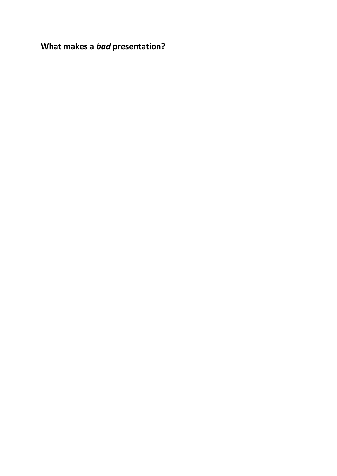**What makes a** *bad* **presentation?**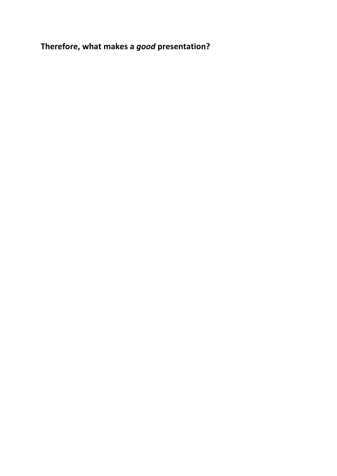**Therefore, what makes a** *good* **presentation?**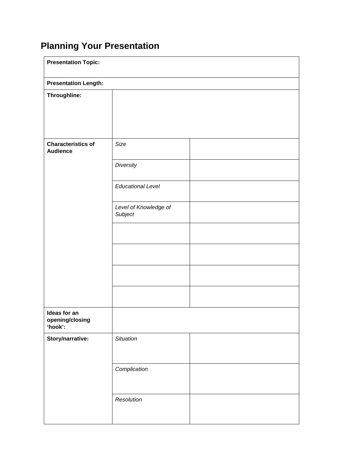# **Planning Your Presentation**

| <b>Presentation Topic:</b>                   |                                  |  |
|----------------------------------------------|----------------------------------|--|
| <b>Presentation Length:</b>                  |                                  |  |
| Throughline:                                 |                                  |  |
| <b>Characteristics of</b><br><b>Audience</b> | Size                             |  |
|                                              | Diversity                        |  |
|                                              | <b>Educational Level</b>         |  |
|                                              | Level of Knowledge of<br>Subject |  |
|                                              |                                  |  |
|                                              |                                  |  |
|                                              |                                  |  |
|                                              |                                  |  |
| Ideas for an<br>opening/closing<br>'hook':   |                                  |  |
| Story/narrative:                             | <b>Situation</b>                 |  |
|                                              | Complication                     |  |
|                                              | Resolution                       |  |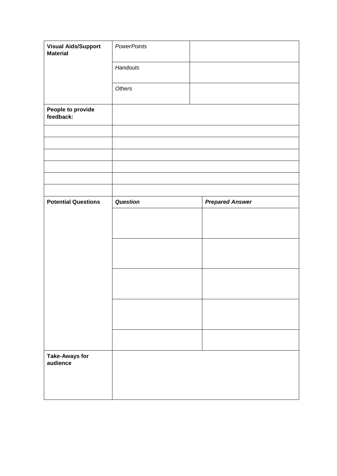| <b>Visual Aids/Support</b><br><b>Material</b> | <b>PowerPoints</b> |                        |
|-----------------------------------------------|--------------------|------------------------|
|                                               | Handouts           |                        |
|                                               | Others             |                        |
| People to provide<br>feedback:                |                    |                        |
|                                               |                    |                        |
|                                               |                    |                        |
|                                               |                    |                        |
|                                               |                    |                        |
|                                               |                    |                        |
| <b>Potential Questions</b>                    | <b>Question</b>    | <b>Prepared Answer</b> |
|                                               |                    |                        |
|                                               |                    |                        |
|                                               |                    |                        |
|                                               |                    |                        |
|                                               |                    |                        |
|                                               |                    |                        |
|                                               |                    |                        |
|                                               |                    |                        |
|                                               |                    |                        |
|                                               |                    |                        |
| <b>Take-Aways for</b><br>audience             |                    |                        |
|                                               |                    |                        |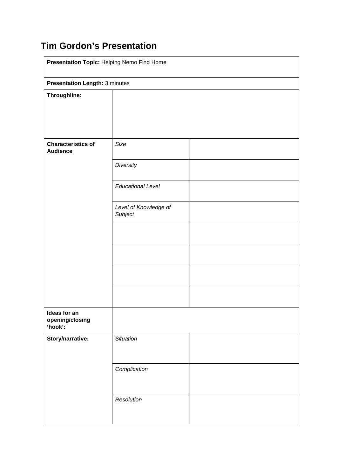# **Tim Gordon's Presentation**

| Presentation Topic: Helping Nemo Find Home   |                                  |  |  |  |  |
|----------------------------------------------|----------------------------------|--|--|--|--|
| <b>Presentation Length: 3 minutes</b>        |                                  |  |  |  |  |
| Throughline:                                 |                                  |  |  |  |  |
| <b>Characteristics of</b><br><b>Audience</b> | Size                             |  |  |  |  |
|                                              | Diversity                        |  |  |  |  |
|                                              | <b>Educational Level</b>         |  |  |  |  |
|                                              | Level of Knowledge of<br>Subject |  |  |  |  |
|                                              |                                  |  |  |  |  |
|                                              |                                  |  |  |  |  |
|                                              |                                  |  |  |  |  |
|                                              |                                  |  |  |  |  |
| Ideas for an<br>opening/closing<br>'hook':   |                                  |  |  |  |  |
| Story/narrative:                             | Situation                        |  |  |  |  |
|                                              | Complication                     |  |  |  |  |
|                                              | Resolution                       |  |  |  |  |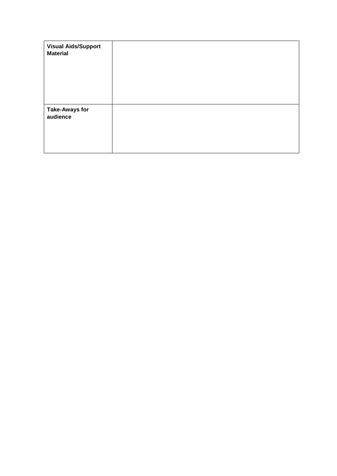| <b>Visual Aids/Support</b><br><b>Material</b> |  |
|-----------------------------------------------|--|
| <b>Take-Aways for</b><br>audience             |  |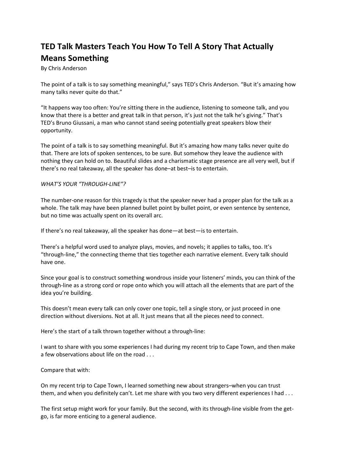## **[TED Talk Masters Teach You How To Tell A Story That Actually](https://www.fastcompany.com/3059547/ted-talk-masters-teach-you-how-to-tell-a-story-that-actually-means-something)  [Means Something](https://www.fastcompany.com/3059547/ted-talk-masters-teach-you-how-to-tell-a-story-that-actually-means-something)**

By Chris Anderson

The point of a talk is to say something meaningful," says TED's Chris Anderson. "But it's amazing how many talks never quite do that."

"It happens way too often: You're sitting there in the audience, listening to someone talk, and you know that there is a better and great talk in that person, it's just not the talk he's giving." That's TED's Bruno Giussani, a man who cannot stand seeing potentially great speakers blow their opportunity.

The point of a talk is to say something meaningful. But it's amazing how many talks never quite do that. There are lots of spoken sentences, to be sure. But somehow they leave the audience with nothing they can hold on to. Beautiful slides and a charismatic stage presence are all very well, but if there's no real takeaway, all the speaker has done–at best–is to entertain.

#### *WHAT'S YOUR "THROUGH-LINE"?*

The number-one reason for this tragedy is that the speaker never had a proper plan for the talk as a whole. The talk may have been planned bullet point by bullet point, or even sentence by sentence, but no time was actually spent on its overall arc.

If there's no real takeaway, all the speaker has done—at best—is to entertain.

There's a helpful word used to analyze plays, movies, and novels; it applies to talks, too. It's "through-line," the connecting theme that ties together each narrative element. Every talk should have one.

Since your goal is to construct something wondrous inside your listeners' minds, you can think of the through-line as a strong cord or rope onto which you will attach all the elements that are part of the idea you're building.

This doesn't mean every talk can only cover one topic, tell a single story, or just proceed in one direction without diversions. Not at all. It just means that all the pieces need to connect.

Here's the start of a talk thrown together without a through-line:

I want to share with you some experiences I had during my recent trip to Cape Town, and then make a few observations about life on the road . . .

Compare that with:

On my recent trip to Cape Town, I learned something new about strangers–when you can trust them, and when you definitely can't. Let me share with you two very different experiences I had . . .

The first setup might work for your family. But the second, with its through-line visible from the getgo, is far more enticing to a general audience.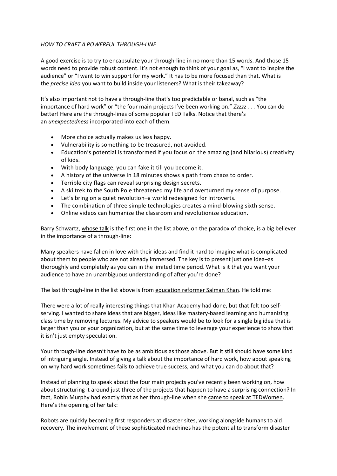#### *HOW TO CRAFT A POWERFUL THROUGH-LINE*

A good exercise is to try to encapsulate your through-line in no more than 15 words. And those 15 words need to provide robust content. It's not enough to think of your goal as, "I want to inspire the audience" or "I want to win support for my work." It has to be more focused than that. What is the *precise idea* you want to build inside your listeners? What is their takeaway?

It's also important not to have a through-line that's too predictable or banal, such as "the importance of hard work" or "the four main projects I've been working on." *Zzzzz . . .* You can do better! Here are the through-lines of some popular TED Talks. Notice that there's an *unexpectedness* incorporated into each of them.

- More choice actually makes us less happy.
- Vulnerability is something to be treasured, not avoided.
- Education's potential is transformed if you focus on the amazing (and hilarious) creativity of kids.
- With body language, you can fake it till you become it.
- A history of the universe in 18 minutes shows a path from chaos to order.
- Terrible city flags can reveal surprising design secrets.
- A ski trek to the South Pole threatened my life and overturned my sense of purpose.
- Let's bring on a quiet revolution–a world redesigned for introverts.
- The combination of three simple technologies creates a mind-blowing sixth sense.
- Online videos can humanize the classroom and revolutionize education.

Barry Schwartz, [whose talk](https://www.ted.com/talks/barry_schwartz_on_the_paradox_of_choice?language=en) is the first one in the list above, on the paradox of choice, is a big believer in the importance of a through-line:

Many speakers have fallen in love with their ideas and find it hard to imagine what is complicated about them to people who are not already immersed. The key is to present just one idea–as thoroughly and completely as you can in the limited time period. What is it that you want your audience to have an unambiguous understanding of after you're done?

The last through-line in the list above is from [education reformer Salman Khan.](https://www.fastcompany.com/3004916/khan-academys-salman-khan-and-institute-plays-katie-salen-find-technology-can-update-educati) He told me:

There were a lot of really interesting things that Khan Academy had done, but that felt too selfserving. I wanted to share ideas that are bigger, ideas like mastery-based learning and humanizing class time by removing lectures. My advice to speakers would be to look for a single big idea that is larger than you or your organization, but at the same time to leverage your experience to show that it isn't just empty speculation.

Your through-line doesn't have to be as ambitious as those above. But it still should have some kind of intriguing angle. Instead of giving a talk about the importance of hard work, how about speaking on why hard work sometimes fails to achieve true success, and what you can do about that?

Instead of planning to speak about the four main projects you've recently been working on, how about structuring it around just three of the projects that happen to have a surprising connection? In fact, Robin Murphy had exactly that as her through-line when she [came to speak at TEDWomen.](https://www.ted.com/talks/robin_murphy_these_robots_come_to_the_rescue_after_a_disaster?language=en) Here's the opening of her talk:

Robots are quickly becoming first responders at disaster sites, working alongside humans to aid recovery. The involvement of these sophisticated machines has the potential to transform disaster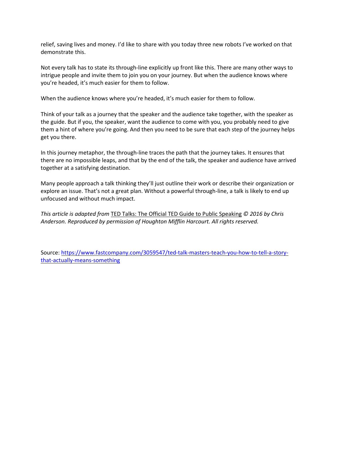relief, saving lives and money. I'd like to share with you today three new robots I've worked on that demonstrate this.

Not every talk has to state its through-line explicitly up front like this. There are many other ways to intrigue people and invite them to join you on your journey. But when the audience knows where you're headed, it's much easier for them to follow.

When the audience knows where you're headed, it's much easier for them to follow.

Think of your talk as a journey that the speaker and the audience take together, with the speaker as the guide. But if you, the speaker, want the audience to come with you, you probably need to give them a hint of where you're going. And then you need to be sure that each step of the journey helps get you there.

In this journey metaphor, the through-line traces the path that the journey takes. It ensures that there are no impossible leaps, and that by the end of the talk, the speaker and audience have arrived together at a satisfying destination.

Many people approach a talk thinking they'll just outline their work or describe their organization or explore an issue. That's not a great plan. Without a powerful through-line, a talk is likely to end up unfocused and without much impact.

*This article is adapted from* [TED Talks: The Official TED Guide to Public Speaking](http://www.amazon.com/TED-Talks-Official-Public-Speaking/dp/0544634497) *© 2016 by Chris Anderson. Reproduced by permission of Houghton Mifflin Harcourt. All rights reserved.*

Source: [https://www.fastcompany.com/3059547/ted-talk-masters-teach-you-how-to-tell-a-story](https://www.fastcompany.com/3059547/ted-talk-masters-teach-you-how-to-tell-a-story-that-actually-means-something)[that-actually-means-something](https://www.fastcompany.com/3059547/ted-talk-masters-teach-you-how-to-tell-a-story-that-actually-means-something)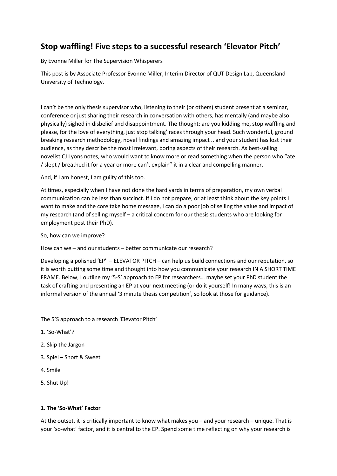## **Stop waffling! Five steps to a successful research 'Elevator Pitch'**

By Evonne Miller for The Supervision Whisperers

This post is by Associate Professor Evonne Miller, Interim Director of QUT Design Lab, Queensland University of Technology.

I can't be the only thesis supervisor who, listening to their (or others) student present at a seminar, conference or just sharing their research in conversation with others, has mentally (and maybe also physically) sighed in disbelief and disappointment. The thought: are you kidding me, stop waffling and please, for the love of everything, just stop talking' races through your head. Such wonderful, ground breaking research methodology, novel findings and amazing impact .. and your student has lost their audience, as they describe the most irrelevant, boring aspects of their research. As best-selling novelist CJ Lyons notes, who would want to know more or read something when the person who "ate / slept / breathed it for a year or more can't explain" it in a clear and compelling manner.

And, if I am honest, I am guilty of this too.

At times, especially when I have not done the hard yards in terms of preparation, my own verbal communication can be less than succinct. If I do not prepare, or at least think about the key points I want to make and the core take home message, I can do a poor job of selling the value and impact of my research (and of selling myself – a critical concern for our thesis students who are looking for employment post their PhD).

So, how can we improve?

How can we – and our students – better communicate our research?

Developing a polished 'EP' – ELEVATOR PITCH – can help us build connections and our reputation, so it is worth putting some time and thought into how you communicate your research IN A SHORT TIME FRAME. Below, I outline my '5-S' approach to EP for researchers… maybe set your PhD student the task of crafting and presenting an EP at your next meeting (or do it yourself! In many ways, this is an informal version of the annual '3 minute thesis competition', so look at those for guidance).

The 5'S approach to a research 'Elevator Pitch'

- 1. 'So-What'?
- 2. Skip the Jargon
- 3. Spiel Short & Sweet
- 4. Smile
- 5. Shut Up!

#### **1. The 'So-What' Factor**

At the outset, it is critically important to know what makes you – and your research – unique. That is your 'so-what' factor, and it is central to the EP. Spend some time reflecting on why your research is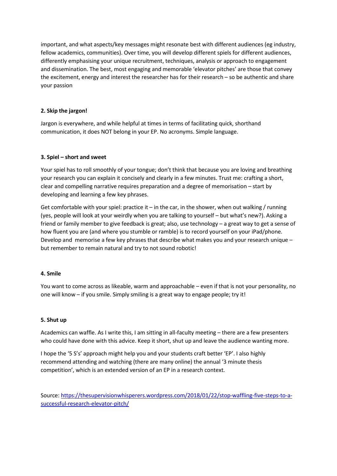important, and what aspects/key messages might resonate best with different audiences (eg industry, fellow academics, communities). Over time, you will develop different spiels for different audiences, differently emphasising your unique recruitment, techniques, analysis or approach to engagement and dissemination. The best, most engaging and memorable 'elevator pitches' are those that convey the excitement, energy and interest the researcher has for their research – so be authentic and share your passion

#### **2. Skip the jargon!**

Jargon is everywhere, and while helpful at times in terms of facilitating quick, shorthand communication, it does NOT belong in your EP. No acronyms. Simple language.

#### **3. Spiel – short and sweet**

Your spiel has to roll smoothly of your tongue; don't think that because you are loving and breathing your research you can explain it concisely and clearly in a few minutes. Trust me: crafting a short, clear and compelling narrative requires preparation and a degree of memorisation – start by developing and learning a few key phrases.

Get comfortable with your spiel: practice it – in the car, in the shower, when out walking / running (yes, people will look at your weirdly when you are talking to yourself – but what's new?). Asking a friend or family member to give feedback is great; also, use technology – a great way to get a sense of how fluent you are (and where you stumble or ramble) is to record yourself on your iPad/phone. Develop and memorise a few key phrases that describe what makes you and your research unique – but remember to remain natural and try to not sound robotic!

#### **4. Smile**

You want to come across as likeable, warm and approachable – even if that is not your personality, no one will know – if you smile. Simply smiling is a great way to engage people; try it!

#### **5. Shut up**

Academics can waffle. As I write this, I am sitting in all-faculty meeting – there are a few presenters who could have done with this advice. Keep it short, shut up and leave the audience wanting more.

I hope the '5 S's' approach might help you and your students craft better 'EP'. I also highly recommend attending and watching (there are many online) the annual '3 minute thesis competition', which is an extended version of an EP in a research context.

Source[: https://thesupervisionwhisperers.wordpress.com/2018/01/22/stop-waffling-five-steps-to-a](https://thesupervisionwhisperers.wordpress.com/2018/01/22/stop-waffling-five-steps-to-a-successful-research-elevator-pitch/)[successful-research-elevator-pitch/](https://thesupervisionwhisperers.wordpress.com/2018/01/22/stop-waffling-five-steps-to-a-successful-research-elevator-pitch/)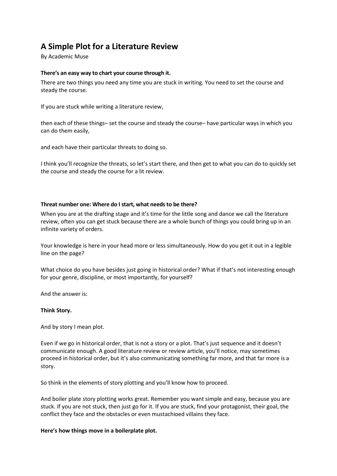## **A Simple Plot for a Literature Review**

By Academic Muse

#### **There's an easy way to chart your course through it.**

There are two things you need any time you are stuck in writing. You need to set the course and steady the course.

If you are stuck while writing a literature review,

then each of these things– set the course and steady the course– have particular ways in which you can do them easily,

and each have their particular threats to doing so.

I think you'll recognize the threats, so let's start there, and then get to what you can do to quickly set the course and steady the course for a lit review.

#### **Threat number one: Where do I start, what needs to be there?**

When you are at the drafting stage and it's time for the little song and dance we call the literature review, often you can get stuck because there are a whole bunch of things you could bring up in an infinite variety of orders.

Your knowledge is here in your head more or less simultaneously. How do you get it out in a legible line on the page?

What choice do you have besides just going in historical order? What if that's not interesting enough for your genre, discipline, or most importantly, for yourself?

And the answer is:

#### **Think Story.**

And by story I mean plot.

Even if we go in historical order, that is not a story or a plot. That's just sequence and it doesn't communicate enough. A good literature review or review article, you'll notice, may sometimes proceed in historical order, but it's also communicating something far more, and that far more is a story.

So think in the elements of story plotting and you'll know how to proceed.

And boiler plate story plotting works great. Remember you want simple and easy, because you are stuck. If you are not stuck, then just go for it. If you are stuck, find your protagonist, their goal, the conflict they face and the obstacles or even mustachioed villains they face.

#### **Here's how things move in a boilerplate plot.**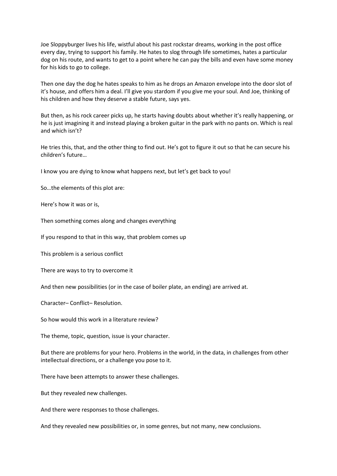Joe Sloppyburger lives his life, wistful about his past rockstar dreams, working in the post office every day, trying to support his family. He hates to slog through life sometimes, hates a particular dog on his route, and wants to get to a point where he can pay the bills and even have some money for his kids to go to college.

Then one day the dog he hates speaks to him as he drops an Amazon envelope into the door slot of it's house, and offers him a deal. I'll give you stardom if you give me your soul. And Joe, thinking of his children and how they deserve a stable future, says yes.

But then, as his rock career picks up, he starts having doubts about whether it's really happening, or he is just imagining it and instead playing a broken guitar in the park with no pants on. Which is real and which isn't?

He tries this, that, and the other thing to find out. He's got to figure it out so that he can secure his children's future…

I know you are dying to know what happens next, but let's get back to you!

So…the elements of this plot are:

Here's how it was or is,

Then something comes along and changes everything

If you respond to that in this way, that problem comes up

This problem is a serious conflict

There are ways to try to overcome it

And then new possibilities (or in the case of boiler plate, an ending) are arrived at.

Character– Conflict– Resolution.

So how would this work in a literature review?

The theme, topic, question, issue is your character.

But there are problems for your hero. Problems in the world, in the data, in challenges from other intellectual directions, or a challenge you pose to it.

There have been attempts to answer these challenges.

But they revealed new challenges.

And there were responses to those challenges.

And they revealed new possibilities or, in some genres, but not many, new conclusions.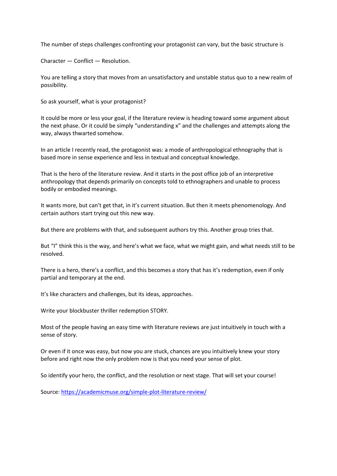The number of steps challenges confronting your protagonist can vary, but the basic structure is

Character — Conflict — Resolution.

You are telling a story that moves from an unsatisfactory and unstable status quo to a new realm of possibility.

So ask yourself, what is your protagonist?

It could be more or less your goal, if the literature review is heading toward some argument about the next phase. Or it could be simply "understanding x" and the challenges and attempts along the way, always thwarted somehow.

In an article I recently read, the protagonist was: a mode of anthropological ethnography that is based more in sense experience and less in textual and conceptual knowledge.

That is the hero of the literature review. And it starts in the post office job of an interpretive anthropology that depends primarily on concepts told to ethnographers and unable to process bodily or embodied meanings.

It wants more, but can't get that, in it's current situation. But then it meets phenomenology. And certain authors start trying out this new way.

But there are problems with that, and subsequent authors try this. Another group tries that.

But "I" think this is the way, and here's what we face, what we might gain, and what needs still to be resolved.

There is a hero, there's a conflict, and this becomes a story that has it's redemption, even if only partial and temporary at the end.

It's like characters and challenges, but its ideas, approaches.

Write your blockbuster thriller redemption STORY.

Most of the people having an easy time with literature reviews are just intuitively in touch with a sense of story.

Or even if it once was easy, but now you are stuck, chances are you intuitively knew your story before and right now the only problem now is that you need your sense of plot.

So identify your hero, the conflict, and the resolution or next stage. That will set your course!

Source: <https://academicmuse.org/simple-plot-literature-review/>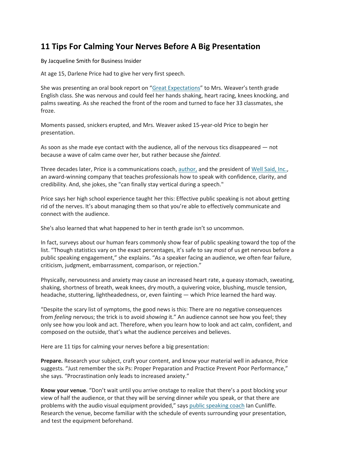## **11 Tips For Calming Your Nerves Before A Big Presentation**

By Jacqueline Smith for Business Insider

At age 15, Darlene Price had to give her very first speech.

She was presenting an oral book report on ["Great Expectations"](http://www.amazon.com/Great-Expectations-Barnes-Noble-Classics/dp/1593080069?tag=bisafetynet2-20) to Mrs. Weaver's tenth grade English class. She was nervous and could feel her hands shaking, heart racing, knees knocking, and palms sweating. As she reached the front of the room and turned to face her 33 classmates, she froze.

Moments passed, snickers erupted, and Mrs. Weaver asked 15-year-old Price to begin her presentation.

As soon as she made eye contact with the audience, all of the nervous tics disappeared — not because a wave of calm came over her, but rather because she *fainted*.

Three decades later, Price is a communications coach, [author,](http://www.amazon.com/exec/obidos/ASIN/0814417876/wwwamacombooorg?tag=bisafetynet2-20) and the president of [Well Said, Inc.,](http://www.wellsaid.com/) an award-winning company that teaches professionals how to speak with confidence, clarity, and credibility. And, she jokes, she "can finally stay vertical during a speech."

Price says her high school experience taught her this: Effective public speaking is not about getting rid of the nerves. It's about managing them so that you're able to effectively communicate and connect with the audience.

She's also learned that what happened to her in tenth grade isn't so uncommon.

In fact, surveys about our human fears commonly show fear of public speaking toward the top of the list. "Though statistics vary on the exact percentages, it's safe to say *most* of us get nervous before a public speaking engagement," she explains. "As a speaker facing an audience, we often fear failure, criticism, judgment, embarrassment, comparison, or rejection."

Physically, nervousness and anxiety may cause an increased heart rate, a queasy stomach, sweating, shaking, shortness of breath, weak knees, dry mouth, a quivering voice, blushing, muscle tension, headache, stuttering, lightheadedness, or, even fainting — which Price learned the hard way.

"Despite the scary list of symptoms, the good news is this: There are no negative consequences from *feeling* nervous; the trick is to avoid *showing* it." An audience cannot see how you feel; they only see how you look and act. Therefore, when you learn how to look and act calm, confident, and composed on the outside, that's what the audience perceives and believes.

Here are 11 tips for calming your nerves before a big presentation:

**Prepare.** Research your subject, craft your content, and know your material well in advance, Price suggests. "Just remember the six Ps: Proper Preparation and Practice Prevent Poor Performance," she says. "Procrastination only leads to increased anxiety."

**Know your venue**. "Don't wait until you arrive onstage to realize that there's a post blocking your view of half the audience, or that they will be serving dinner *while* you speak, or that there are problems with the audio visual equipment provided," says [public speaking coach](http://www.publicspeakingwisdom.com/) Ian Cunliffe. Research the venue, become familiar with the schedule of events surrounding your presentation, and test the equipment beforehand.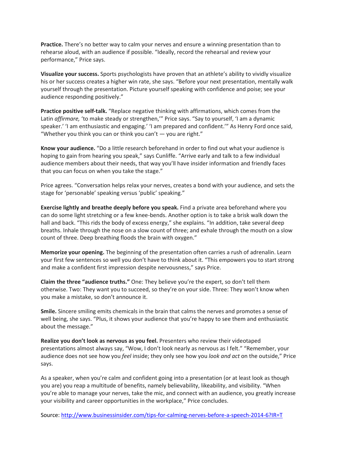**Practice.** There's no better way to calm your nerves and ensure a winning presentation than to rehearse aloud, with an audience if possible. "Ideally, record the rehearsal and review your performance," Price says.

**Visualize your success.** Sports psychologists have proven that an athlete's ability to vividly visualize his or her success creates a higher win rate, she says. "Before your next presentation, mentally walk yourself through the presentation. Picture yourself speaking with confidence and poise; see your audience responding positively."

**Practice positive self-talk.** "Replace negative thinking with affirmations, which comes from the Latin *affirmare,* 'to make steady or strengthen,'" Price says. "Say to yourself, 'I am a dynamic speaker.' 'I am enthusiastic and engaging.' 'I am prepared and confident.'" As Henry Ford once said, "Whether you think you can or think you can't  $-$  you are right."

**Know your audience.** "Do a little research beforehand in order to find out what your audience is hoping to gain from hearing you speak," says Cunliffe. "Arrive early and talk to a few individual audience members about their needs, that way you'll have insider information and friendly faces that you can focus on when you take the stage."

Price agrees. "Conversation helps relax your nerves, creates a bond with your audience, and sets the stage for 'personable' speaking versus 'public' speaking."

**Exercise lightly and breathe deeply before you speak.** Find a private area beforehand where you can do some light stretching or a few knee-bends. Another option is to take a brisk walk down the hall and back. "This rids the body of excess energy," she explains. "In addition, take several deep breaths. Inhale through the nose on a slow count of three; and exhale through the mouth on a slow count of three. Deep breathing floods the brain with oxygen."

**Memorize your opening.** The beginning of the presentation often carries a rush of adrenalin. Learn your first few sentences so well you don't have to think about it. "This empowers you to start strong and make a confident first impression despite nervousness," says Price.

**Claim the three "audience truths."** One: They believe you're the expert, so don't tell them otherwise. Two: They want you to succeed, so they're on your side. Three: They won't know when you make a mistake, so don't announce it.

**Smile.** Sincere smiling emits chemicals in the brain that calms the nerves and promotes a sense of well being, she says. "Plus, it shows your audience that you're happy to see them and enthusiastic about the message."

**Realize you don't look as nervous as you feel.** Presenters who review their videotaped presentations almost always say, "Wow, I don't look nearly as nervous as I felt." "Remember, your audience does not see how you *feel* inside; they only see how you *look and act* on the outside," Price says.

As a speaker, when you're calm and confident going into a presentation (or at least look as though you are) you reap a multitude of benefits, namely believability, likeability, and visibility. "When you're able to manage your nerves, take the mic, and connect with an audience, you greatly increase your visibility and career opportunities in the workplace," Price concludes.

Source: <http://www.businessinsider.com/tips-for-calming-nerves-before-a-speech-2014-6?IR=T>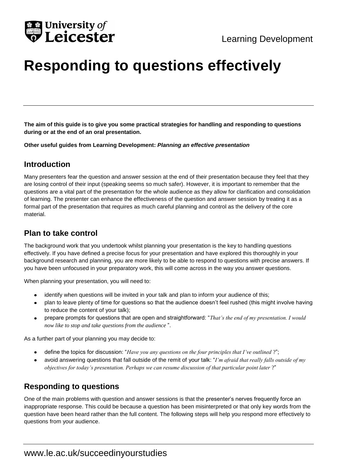

# **Responding to questions effectively**

**The aim of this guide is to give you some practical strategies for handling and responding to questions during or at the end of an oral presentation.** 

**Other useful guides from Learning Development:** *Planning an effective presentation*

### **Introduction**

Many presenters fear the question and answer session at the end of their presentation because they feel that they are losing control of their input (speaking seems so much safer). However, it is important to remember that the questions are a vital part of the presentation for the whole audience as they allow for clarification and consolidation of learning. The presenter can enhance the effectiveness of the question and answer session by treating it as a formal part of the presentation that requires as much careful planning and control as the delivery of the core material.

## **Plan to take control**

The background work that you undertook whilst planning your presentation is the key to handling questions effectively. If you have defined a precise focus for your presentation and have explored this thoroughly in your background research and planning, you are more likely to be able to respond to questions with precise answers. If you have been unfocused in your preparatory work, this will come across in the way you answer questions.

When planning your presentation, you will need to:

- identify when questions will be invited in your talk and plan to inform your audience of this;
- plan to leave plenty of time for questions so that the audience doesn"t feel rushed (this might involve having to reduce the content of your talk);
- prepare prompts for questions that are open and straightforward: "*That's the end of my presentation. I would now like to stop and take questions from the audience* ".

As a further part of your planning you may decide to:

- define the topics for discussion: "*Have you any questions on the four principles that I've outlined* ?";
- avoid answering questions that fall outside of the remit of your talk: "*I'm afraid that really falls outside of my objectives for today's presentation. Perhaps we can resume discussion of that particular point later* ?"

## **Responding to questions**

One of the main problems with question and answer sessions is that the presenter"s nerves frequently force an inappropriate response. This could be because a question has been misinterpreted or that only key words from the question have been heard rather than the full content. The following steps will help you respond more effectively to questions from your audience.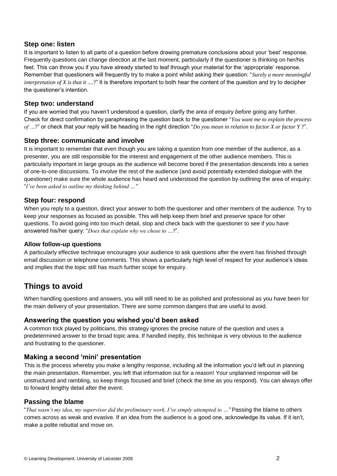#### **Step one: listen**

It is important to listen to all parts of a question before drawing premature conclusions about your 'best' response. Frequently questions can change direction at the last moment, particularly if the questioner is thinking on her/his feet. This can throw you if you have already started to leaf through your material for the 'appropriate' response. Remember that questioners will frequently try to make a point whilst asking their question: "*Surely a more meaningful interpretation of X is that it ....*?" It is therefore important to both hear the content of the question and try to decipher the questioner"s intention.

#### **Step two: understand**

If you are worried that you haven"t understood a question, clarify the area of enquiry *before* going any further. Check for direct confirmation by paraphrasing the question back to the questioner "*You want me to explain the process of …*?" or check that your reply will be heading in the right direction "*Do you mean in relation to factor X or factor Y* ?".

#### **Step three: communicate and involve**

It is important to remember that even though you are taking a question from one member of the audience, as a presenter, you are still responsible for the interest and engagement of the other audience members. This is particularly important in large groups as the audience will become bored if the presentation descends into a series of one-to-one discussions. To involve the rest of the audience (and avoid potentially extended dialogue with the questioner) make sure the whole audience has heard and understood the question by outlining the area of enquiry: "*I've been asked to outline my thinking behind …"*

#### **Step four: respond**

When you reply to a question, direct your answer to both the questioner and other members of the audience. Try to keep your responses as focused as possible. This will help keep them brief and preserve space for other questions. To avoid going into too much detail, stop and check back with the questioner to see if you have answered his/her query: "*Does that explain why we chose to …*?".

#### **Allow follow-up questions**

A particularly effective technique encourages your audience to ask questions after the event has finished through email discussion or telephone comments. This shows a particularly high level of respect for your audience"s ideas and implies that the topic still has much further scope for enquiry.

## **Things to avoid**

When handling questions and answers, you will still need to be as polished and professional as you have been for the main delivery of your presentation. There are some common dangers that are useful to avoid.

#### **Answering the question you wished you'd been asked**

A common trick played by politicians, this strategy ignores the precise nature of the question and uses a predetermined answer to the broad topic area. If handled ineptly, this technique is very obvious to the audience and frustrating to the questioner.

#### **Making a second 'mini' presentation**

This is the process whereby you make a lengthy response, including all the information you"d left out in planning the main presentation. Remember, you left that information out for a reason! Your unplanned response will be unstructured and rambling, so keep things focused and brief (check the time as you respond). You can always offer to forward lengthy detail after the event.

#### **Passing the blame**

"*That wasn't my idea, my supervisor did the preliminary work, I've simply attempted to …"* Passing the blame to others comes across as weak and evasive. If an idea from the audience is a good one, acknowledge its value. If it isn"t, make a polite rebuttal and move on.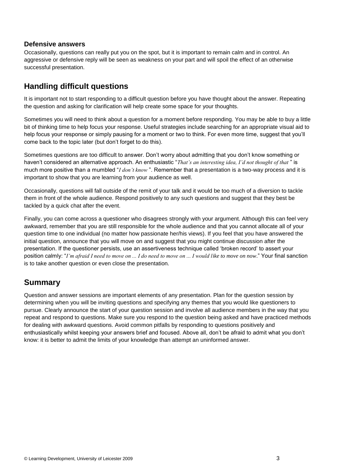#### **Defensive answers**

Occasionally, questions can really put you on the spot, but it is important to remain calm and in control. An aggressive or defensive reply will be seen as weakness on your part and will spoil the effect of an otherwise successful presentation.

## **Handling difficult questions**

It is important not to start responding to a difficult question before you have thought about the answer. Repeating the question and asking for clarification will help create some space for your thoughts.

Sometimes you will need to think about a question for a moment before responding. You may be able to buy a little bit of thinking time to help focus your response. Useful strategies include searching for an appropriate visual aid to help focus your response or simply pausing for a moment or two to think. For even more time, suggest that you'll come back to the topic later (but don"t forget to do this).

Sometimes questions are too difficult to answer. Don"t worry about admitting that you don"t know something or haven"t considered an alternative approach. An enthusiastic "*That's an interesting idea, I'd not thought of that* " is much more positive than a mumbled "*I don't know* ". Remember that a presentation is a two-way process and it is important to show that you are learning from your audience as well.

Occasionally, questions will fall outside of the remit of your talk and it would be too much of a diversion to tackle them in front of the whole audience. Respond positively to any such questions and suggest that they best be tackled by a quick chat after the event.

Finally, you can come across a questioner who disagrees strongly with your argument. Although this can feel very awkward, remember that you are still responsible for the whole audience and that you cannot allocate all of your question time to one individual (no matter how passionate her/his views). If you feel that you have answered the initial question, announce that you will move on and suggest that you might continue discussion after the presentation. If the questioner persists, use an assertiveness technique called "broken record" to assert your position calmly: "*I'm afraid I need to move on ... I do need to move on ... I would like to move on now*." Your final sanction is to take another question or even close the presentation.

## **Summary**

Question and answer sessions are important elements of any presentation. Plan for the question session by determining when you will be inviting questions and specifying any themes that you would like questioners to pursue. Clearly announce the start of your question session and involve all audience members in the way that you repeat and respond to questions. Make sure you respond to the question being asked and have practiced methods for dealing with awkward questions. Avoid common pitfalls by responding to questions positively and enthusiastically whilst keeping your answers brief and focused. Above all, don"t be afraid to admit what you don"t know: it is better to admit the limits of your knowledge than attempt an uninformed answer.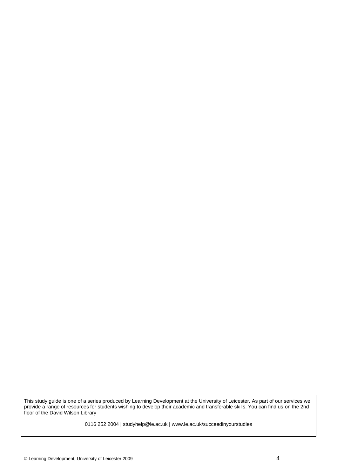This study guide is one of a series produced by Learning Development at the University of Leicester. As part of our services we provide a range of resources for students wishing to develop their academic and transferable skills. You can find us on the 2nd floor of the David Wilson Library

0116 252 2004 | studyhelp@le.ac.uk | www.le.ac.uk/succeedinyourstudies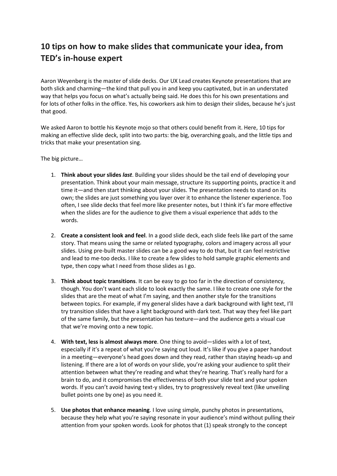## **10 tips on how to make slides that communicate your idea, from TED's in-house expert**

Aaron Weyenberg is the master of slide decks. Our UX Lead creates Keynote presentations that are both slick and charming—the kind that pull you in and keep you captivated, but in an understated way that helps you focus on what's actually being said. He does this for his own presentations and for lots of other folks in the office. Yes, his coworkers ask him to design their slides, because he's just that good.

We asked Aaron to bottle his Keynote mojo so that others could benefit from it. Here, 10 tips for making an effective slide deck, split into two parts: the big, overarching goals, and the little tips and tricks that make your presentation sing.

The big picture…

- 1. **Think about your slides** *last*. Building your slides should be the tail end of developing your presentation. Think about your main message, structure its supporting points, practice it and time it—and then start thinking about your slides. The presentation needs to stand on its own; the slides are just something you layer over it to enhance the listener experience. Too often, I see slide decks that feel more like presenter notes, but I think it's far more effective when the slides are for the audience to give them a visual experience that adds to the words.
- 2. **Create a consistent look and feel**. In a good slide deck, each slide feels like part of the same story. That means using the same or related typography, colors and imagery across all your slides. Using pre-built master slides can be a good way to do that, but it can feel restrictive and lead to me-too decks. I like to create a few slides to hold sample graphic elements and type, then copy what I need from those slides as I go.
- 3. **Think about topic transitions**. It can be easy to go too far in the direction of consistency, though. You don't want each slide to look exactly the same. I like to create one style for the slides that are the meat of what I'm saying, and then another style for the transitions between topics. For example, if my general slides have a dark background with light text, I'll try transition slides that have a light background with dark text. That way they feel like part of the same family, but the presentation has texture—and the audience gets a visual cue that we're moving onto a new topic.
- 4. **With text, less is almost always more**. One thing to avoid—slides with a lot of text, especially if it's a repeat of what you're saying out loud. It's like if you give a paper handout in a meeting—everyone's head goes down and they read, rather than staying heads-up and listening. If there are a lot of words on your slide, you're asking your audience to split their attention between what they're reading and what they're hearing. That's really hard for a brain to do, and it compromises the effectiveness of both your slide text and your spoken words. If you can't avoid having text-y slides, try to progressively reveal text (like unveiling bullet points one by one) as you need it.
- 5. **Use photos that enhance meaning**. I love using simple, punchy photos in presentations, because they help what you're saying resonate in your audience's mind without pulling their attention from your spoken words. Look for photos that (1) speak strongly to the concept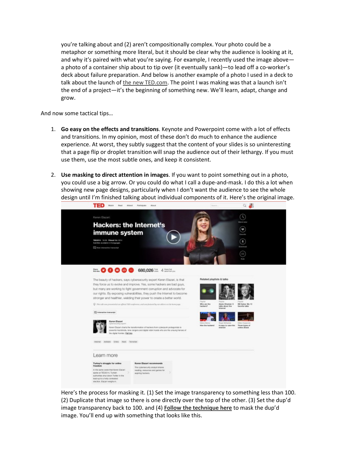you're talking about and (2) aren't compositionally complex. Your photo could be a metaphor or something more literal, but it should be clear why the audience is looking at it, and why it's paired with what you're saying. For example, I recently used the image above a photo of a container ship about to tip over (it eventually sank)—to lead off a co-worker's deck about failure preparation. And below is another example of a photo I used in a deck to talk about the launch of [the new TED.com.](https://blog.ted.com/2014/03/04/introducing-new-ted/) The point I was making was that a launch isn't the end of a project—it's the beginning of something new. We'll learn, adapt, change and grow.

And now some tactical tips…

- 1. **Go easy on the effects and transitions**. Keynote and Powerpoint come with a lot of effects and transitions. In my opinion, most of these don't do much to enhance the audience experience. At worst, they subtly suggest that the content of your slides is so uninteresting that a page flip or droplet transition will snap the audience out of their lethargy. If you must use them, use the most subtle ones, and keep it consistent.
- 2. **Use masking to direct attention in images**. If you want to point something out in a photo, you could use a big arrow. Or you could do what I call a dupe-and-mask. I do this a lot when showing new page designs, particularly when I don't want the audience to see the whole design until I'm finished talking about individual components of it. Here's the original image.



Here's the process for masking it. (1) Set the image transparency to something less than 100. (2) Duplicate that image so there is one directly over the top of the other. (3) Set the dup'd image transparency back to 100. and (4) **[Follow the technique here](https://www.youtube.com/watch?v=FUVrjl0j3I8)** to mask the dup'd image. You'll end up with something that looks like this.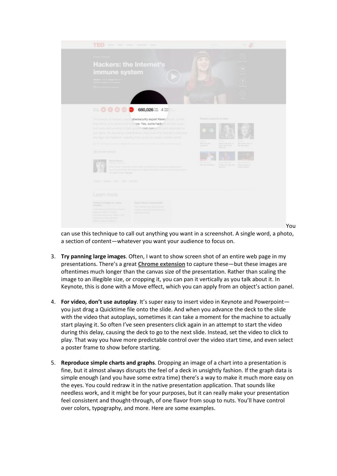| TED                                                                                                                                                                                                                                                    | Well (1) Book (1) Well (1) Period (4) The County                                                                                                                                                                                                                                                                                                                                                                 |                                  | 9 点                                                                                           |  |
|--------------------------------------------------------------------------------------------------------------------------------------------------------------------------------------------------------------------------------------------------------|------------------------------------------------------------------------------------------------------------------------------------------------------------------------------------------------------------------------------------------------------------------------------------------------------------------------------------------------------------------------------------------------------------------|----------------------------------|-----------------------------------------------------------------------------------------------|--|
| <b>STORY OF SALE</b><br>$\textbf{1431344} \quad \textbf{15} \rightarrow \textbf{17444} \; \textbf{1643}$<br><b>State of Model</b>                                                                                                                      | <b>Hackers: the Internet's</b><br>immune system                                                                                                                                                                                                                                                                                                                                                                  |                                  | w                                                                                             |  |
|                                                                                                                                                                                                                                                        |                                                                                                                                                                                                                                                                                                                                                                                                                  |                                  | (H)                                                                                           |  |
|                                                                                                                                                                                                                                                        | $\Box$ 0 0 0 0 680,026 $\Box$ 4 $\Box$<br>The bondy of hackers, soys bybersecurity expert Keren Elements mut<br>they loke up to excite and imploye. Yes, some haders are bad gays.<br>but many are working to hold coverfunest comattlice and advocate tor-<br>cuir rights. By exposing valoants that, they post the Internet to become.<br>atronger and healthes, welcons their power to create a better world. |                                  | Related playbots & talini                                                                     |  |
|                                                                                                                                                                                                                                                        |                                                                                                                                                                                                                                                                                                                                                                                                                  |                                  |                                                                                               |  |
| 2.744                                                                                                                                                                                                                                                  |                                                                                                                                                                                                                                                                                                                                                                                                                  | Wind and Disk<br>Property are of | the barrier Mr. Vir.<br>Kinny Houses T.<br>tellig about the<br><b>Production Constitution</b> |  |
| TI intrader reserve<br>- 25                                                                                                                                                                                                                            | Kasser Elkinst<br>The South Edward Libraries of January and Children<br>In worldwide, level certains and started starts break who are the certain) because of<br>No. 1024 Fordat: ESESIA<br>Jonese Homest School Audi Straiter                                                                                                                                                                                   | Same Brig Transitional           | United In case Her . Then types of<br><b>Selection of</b><br>contract of the A                |  |
| Learn more                                                                                                                                                                                                                                             |                                                                                                                                                                                                                                                                                                                                                                                                                  |                                  |                                                                                               |  |
| Turkey's alregate for solemn<br><b>Transferred</b><br>219 W. Saltine Accord Plate Christier Editor of<br>Marine an "Dillighton, Thomas,<br>Automatic sharitant Today is the<br>Walthurs by a shall comments.<br>South Scott, Third at A technology and | Karen Dixzall Hegemetands.<br>the cyterastakly engan shared.<br>Partietti, MAJORSK ARASANSKIN<br>instruct Partners.                                                                                                                                                                                                                                                                                              |                                  |                                                                                               |  |

can use this technique to call out anything you want in a screenshot. A single word, a photo, a section of content—whatever you want your audience to focus on.

- 3. **Try panning large images**. Often, I want to show screen shot of an entire web page in my presentations. There's a great **[Chrome extension](https://chrome.google.com/webstore/detail/full-page-screen-capture/fdpohaocaechififmbbbbbknoalclacl)** to capture these—but these images are oftentimes much longer than the canvas size of the presentation. Rather than scaling the image to an illegible size, or cropping it, you can pan it vertically as you talk about it. In Keynote, this is done with a Move effect, which you can apply from an object's action panel.
- 4. **For video, don't use autoplay**. It's super easy to insert video in Keynote and Powerpoint you just drag a Quicktime file onto the slide. And when you advance the deck to the slide with the video that autoplays, sometimes it can take a moment for the machine to actually start playing it. So often I've seen presenters click again in an attempt to start the video during this delay, causing the deck to go to the next slide. Instead, set the video to click to play. That way you have more predictable control over the video start time, and even select a poster frame to show before starting.
- 5. **Reproduce simple charts and graphs**. Dropping an image of a chart into a presentation is fine, but it almost always disrupts the feel of a deck in unsightly fashion. If the graph data is simple enough (and you have some extra time) there's a way to make it much more easy on the eyes. You could redraw it in the native presentation application. That sounds like needless work, and it might be for your purposes, but it can really make your presentation feel consistent and thought-through, of one flavor from soup to nuts. You'll have control over colors, typography, and more. Here are some examples.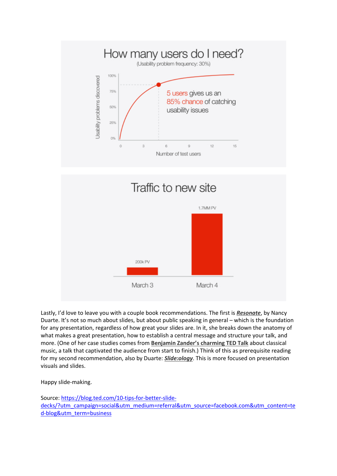



Lastly, I'd love to leave you with a couple book recommendations. The first is *[Resonate](https://buy.geni.us/Proxy.ashx?TSID=12135&GR_URL=http%3A%2F%2Fwww.amazon.com%2FResonate-Present-Stories-Transform-Audiences%2Fdp%2F0470632011%2Fref%3Dsr_1_1%3Fie%3DUTF8%26qid%3D1405438753%26sr%3D8-1%26keywords%3Dresonate)*, by Nancy Duarte. It's not so much about slides, but about public speaking in general – which is the foundation for any presentation, regardless of how great your slides are. In it, she breaks down the anatomy of what makes a great presentation, how to establish a central message and structure your talk, and more. (One of her case studies comes from **[Benjamin Zander's charming TED Talk](http://www.ted.com/talks/benjamin_zander_on_music_and_passion)** about classical music, a talk that captivated the audience from start to finish.) Think of this as prerequisite reading for my second recommendation, also by Duarte: *[Slide:ology](https://buy.geni.us/Proxy.ashx?TSID=12135&GR_URL=http%3A%2F%2Fwww.amazon.com%2Fslide-ology-Science-Creating-Presentations%2Fdp%2F0596522347%2Fref%3Dsr_1_2%3Fie%3DUTF8%26qid%3D1405438753%26sr%3D8-2%26keywords%3Dresonate)*. This is more focused on presentation visuals and slides.

Happy slide-making.

Source: [https://blog.ted.com/10-tips-for-better-slide](https://blog.ted.com/10-tips-for-better-slide-decks/?utm_campaign=social&utm_medium=referral&utm_source=facebook.com&utm_content=ted-blog&utm_term=business)[decks/?utm\\_campaign=social&utm\\_medium=referral&utm\\_source=facebook.com&utm\\_content=te](https://blog.ted.com/10-tips-for-better-slide-decks/?utm_campaign=social&utm_medium=referral&utm_source=facebook.com&utm_content=ted-blog&utm_term=business) [d-blog&utm\\_term=business](https://blog.ted.com/10-tips-for-better-slide-decks/?utm_campaign=social&utm_medium=referral&utm_source=facebook.com&utm_content=ted-blog&utm_term=business)